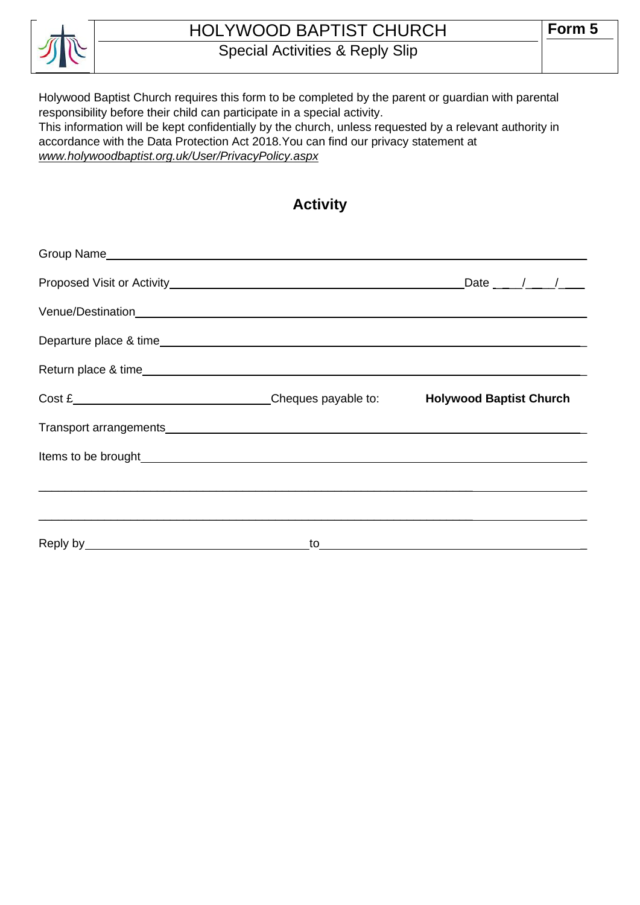

# HOLYWOOD BAPTIST CHURCH

Special Activities & Reply Slip

Holywood Baptist Church requires this form to be completed by the parent or guardian with parental responsibility before their child can participate in a special activity. This information will be kept confidentially by the church, unless requested by a relevant authority in

accordance with the Data Protection Act 2018.You can find our privacy statement at *www.holywoodbaptist.org.uk/User/PrivacyPolicy.aspx*

### **Activity**

| Cost £ Cost £ Cost £ Cost E Cost E Cost E Cost E Cost E Cost E Cost E Cost E Cost E Cost E Cost E Cost E Cost E Cost E Cost E Cost E Cost E Cost E Cost E Cost E Cost E Cost E Cost E Cost E Cost E Cost E Cost E Cost E Cost |  |
|-------------------------------------------------------------------------------------------------------------------------------------------------------------------------------------------------------------------------------|--|
|                                                                                                                                                                                                                               |  |
|                                                                                                                                                                                                                               |  |
|                                                                                                                                                                                                                               |  |
|                                                                                                                                                                                                                               |  |
|                                                                                                                                                                                                                               |  |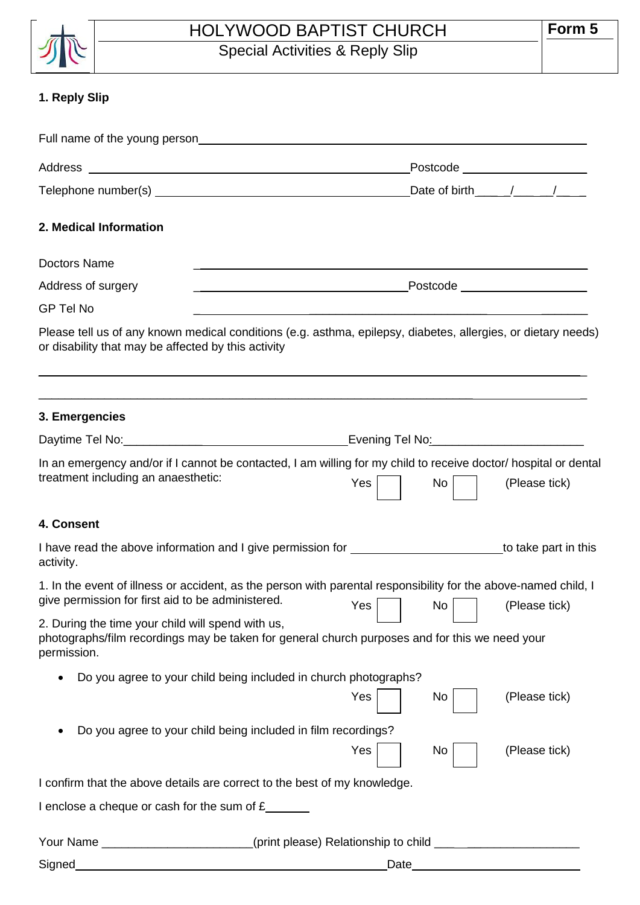

### HOLYWOOD BAPTIST CHURCH Special Activities & Reply Slip

## **1. Reply Slip**

|                                                                           | Full name of the young person <b>Example 2014 CONSERVING CONSERVANCE CONSERVANCE CONSERVANCE CONSERVANCE CONSERVANCE</b>                                                                                                             |  |
|---------------------------------------------------------------------------|--------------------------------------------------------------------------------------------------------------------------------------------------------------------------------------------------------------------------------------|--|
|                                                                           |                                                                                                                                                                                                                                      |  |
|                                                                           | Date of birth_____/____/____                                                                                                                                                                                                         |  |
| 2. Medical Information                                                    |                                                                                                                                                                                                                                      |  |
| <b>Doctors Name</b>                                                       | <u> 1989 - Jan Barat, margaret amerikan basa dan berasal dan berasal dalam berasal dalam berasal dalam berasal da</u>                                                                                                                |  |
| Address of surgery                                                        |                                                                                                                                                                                                                                      |  |
| <b>GP Tel No</b>                                                          | <u> 1980 - Jan Barat, amerikan bahasa di sebagai bagian dan bagian dan bagian dalam bagian dalam bagian dalam ba</u>                                                                                                                 |  |
| or disability that may be affected by this activity                       | Please tell us of any known medical conditions (e.g. asthma, epilepsy, diabetes, allergies, or dietary needs)                                                                                                                        |  |
| 3. Emergencies                                                            | <u> 1989 - Johann Harry Harry Harry Harry Harry Harry Harry Harry Harry Harry Harry Harry Harry Harry Harry Harry</u>                                                                                                                |  |
|                                                                           | Daytime Tel No: <u>Contract Communication</u> Contract Evening Tel No:                                                                                                                                                               |  |
| treatment including an anaesthetic:                                       | In an emergency and/or if I cannot be contacted, I am willing for my child to receive doctor/ hospital or dental<br>Yes  <br>No<br>(Please tick)                                                                                     |  |
| 4. Consent                                                                |                                                                                                                                                                                                                                      |  |
| activity.                                                                 | I have read the above information and I give permission for <b>contrary and the contrary of the contrary of the contrary of the contrary of the contrary of the contrary of the contrary of the contrary of the contrary of the </b> |  |
|                                                                           | 1. In the event of illness or accident, as the person with parental responsibility for the above-named child, I<br>give permission for first aid to be administered. $Yes$ $\Box$ No $\Box$<br>(Please tick)                         |  |
| 2. During the time your child will spend with us,<br>permission.          | photographs/film recordings may be taken for general church purposes and for this we need your                                                                                                                                       |  |
|                                                                           | Do you agree to your child being included in church photographs?<br>(Please tick)<br>Yes<br>No.                                                                                                                                      |  |
| Do you agree to your child being included in film recordings?             | Yes<br>(Please tick)<br>No                                                                                                                                                                                                           |  |
| I confirm that the above details are correct to the best of my knowledge. |                                                                                                                                                                                                                                      |  |
| I enclose a cheque or cash for the sum of $E_{\text{max}}$                |                                                                                                                                                                                                                                      |  |
| Your Name                                                                 |                                                                                                                                                                                                                                      |  |
| <b>Signed</b>                                                             | Date                                                                                                                                                                                                                                 |  |